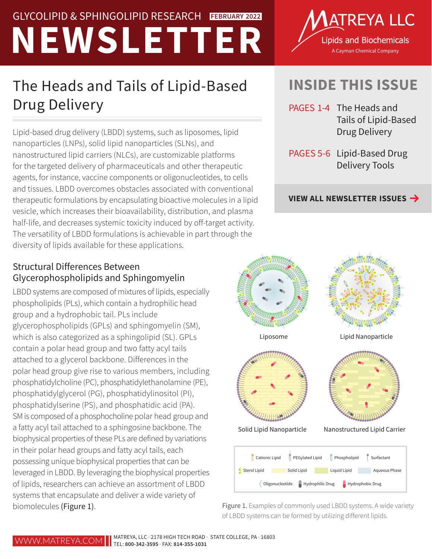# GLYCOLIPID & SPHINGOLIPID RESEARCH **EBRUARY 2022**<br>
A Lipids and Biochemicals<br>
A Cayman Chemical Company GLYCOLIPID & SPHINGOLIPID RESEARCH **FEBRUARY 2022**

## The Heads and Tails of Lipid-Based Drug Delivery

Lipid-based drug delivery (LBDD) systems, such as liposomes, lipid nanoparticles (LNPs), solid lipid nanoparticles (SLNs), and nanostructured lipid carriers (NLCs), are customizable platforms for the targeted delivery of pharmaceuticals and other therapeutic agents, for instance, vaccine components or oligonucleotides, to cells and tissues. LBDD overcomes obstacles associated with conventional therapeutic formulations by encapsulating bioactive molecules in a lipid vesicle, which increases their bioavailability, distribution, and plasma half-life, and decreases systemic toxicity induced by off-target activity. The versatility of LBDD formulations is achievable in part through the diversity of lipids available for these applications.

#### Structural Differences Between Glycerophospholipids and Sphingomyelin

LBDD systems are composed of mixtures of lipids, especially phospholipids (PLs), which contain a hydrophilic head group and a hydrophobic tail. PLs include glycerophospholipids (GPLs) and sphingomyelin (SM), which is also categorized as a sphingolipid (SL). GPLs contain a polar head group and two fatty acyl tails attached to a glycerol backbone. Differences in the polar head group give rise to various members, including phosphatidylcholine (PC), phosphatidylethanolamine (PE), phosphatidylglycerol (PG), phosphatidylinositol (PI), phosphatidylserine (PS), and phosphatidic acid (PA). SM is composed of a phosphocholine polar head group and a fatty acyl tail attached to a sphingosine backbone. The biophysical properties of these PLs are defined by variations in their polar head groups and fatty acyl tails, each possessing unique biophysical properties that can be leveraged in LBDD. By leveraging the biophysical properties of lipids, researchers can achieve an assortment of LBDD systems that encapsulate and deliver a wide variety of biomolecules (Figure 1).



### **INSIDE THIS ISSUE**

- PAGES 1-4 The Heads and Tails of Lipid-Based Drug Delivery
- PAGES 5-6 Lipid-Based Drug Delivery Tools

**[VIEW ALL NEWSLETTER ISSUES](https://www.matreya.com/Archived-Newsletters.aspx)**



Figure 1. Examples of commonly used LBDD systems. A wide variety of LBDD systems can be formed by utilizing different lipids.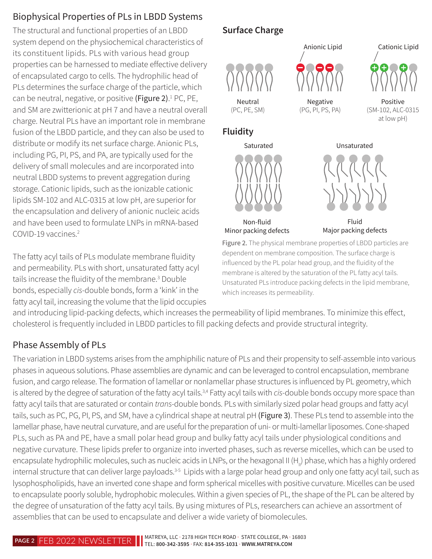### Biophysical Properties of PLs in LBDD Systems

The structural and functional properties of an LBDD system depend on the physiochemical characteristics of its constituent lipids. PLs with various head group properties can be harnessed to mediate effective delivery of encapsulated cargo to cells. The hydrophilic head of PLs determines the surface charge of the particle, which can be neutral, negative, or positive (Figure 2).<sup>1</sup> PC, PE, and SM are zwitterionic at pH 7 and have a neutral overall charge. Neutral PLs have an important role in membrane fusion of the LBDD particle, and they can also be used to distribute or modify its net surface charge. Anionic PLs, including PG, PI, PS, and PA, are typically used for the delivery of small molecules and are incorporated into neutral LBDD systems to prevent aggregation during storage. Cationic lipids, such as the ionizable cationic lipids SM-102 and ALC-0315 at low pH, are superior for the encapsulation and delivery of anionic nucleic acids and have been used to formulate LNPs in mRNA-based COVID-19 vaccines.2

The fatty acyl tails of PLs modulate membrane fluidity and permeability. PLs with short, unsaturated fatty acyl tails increase the fluidity of the membrane.<sup>3</sup> Double bonds, especially *cis*-double bonds, form a 'kink' in the fatty acyl tail, increasing the volume that the lipid occupies

#### **Surface Charge**



dependent on membrane composition. The surface charge is influenced by the PL polar head group, and the fluidity of the membrane is altered by the saturation of the PL fatty acyl tails. Unsaturated PLs introduce packing defects in the lipid membrane, which increases its permeability.

and introducing lipid-packing defects, which increases the permeability of lipid membranes. To minimize this effect, cholesterol is frequently included in LBDD particles to fill packing defects and provide structural integrity.

#### Phase Assembly of PLs

The variation in LBDD systems arises from the amphiphilic nature of PLs and their propensity to self-assemble into various phases in aqueous solutions. Phase assemblies are dynamic and can be leveraged to control encapsulation, membrane fusion, and cargo release. The formation of lamellar or nonlamellar phase structures is influenced by PL geometry, which is altered by the degree of saturation of the fatty acyl tails.<sup>3,4</sup> Fatty acyl tails with *cis*-double bonds occupy more space than fatty acyl tails that are saturated or contain *trans*-double bonds. PLs with similarly sized polar head groups and fatty acyl tails, such as PC, PG, PI, PS, and SM, have a cylindrical shape at neutral pH (Figure 3). These PLs tend to assemble into the lamellar phase, have neutral curvature, and are useful for the preparation of uni- or multi-lamellar liposomes. Cone-shaped PLs, such as PA and PE, have a small polar head group and bulky fatty acyl tails under physiological conditions and negative curvature. These lipids prefer to organize into inverted phases, such as reverse micelles, which can be used to encapsulate hydrophilic molecules, such as nucleic acids in LNPs, or the hexagonal II (H<sub>u</sub>) phase, which has a highly ordered internal structure that can deliver large payloads.<sup>3-5</sup> Lipids with a large polar head group and only one fatty acyl tail, such as lysophospholipids, have an inverted cone shape and form spherical micelles with positive curvature. Micelles can be used to encapsulate poorly soluble, hydrophobic molecules. Within a given species of PL, the shape of the PL can be altered by the degree of unsaturation of the fatty acyl tails. By using mixtures of PLs, researchers can achieve an assortment of assemblies that can be used to encapsulate and deliver a wide variety of biomolecules.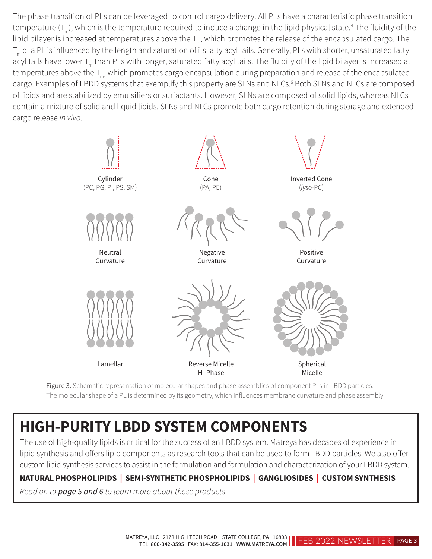The phase transition of PLs can be leveraged to control cargo delivery. All PLs have a characteristic phase transition temperature (T<sub>m</sub>), which is the temperature required to induce a change in the lipid physical state.<sup>4</sup> The fluidity of the lipid bilayer is increased at temperatures above the  $T_m$ , which promotes the release of the encapsulated cargo. The T<sub>m</sub> of a PL is influenced by the length and saturation of its fatty acyl tails. Generally, PLs with shorter, unsaturated fatty acyl tails have lower T<sub>m</sub> than PLs with longer, saturated fatty acyl tails. The fluidity of the lipid bilayer is increased at temperatures above the T<sub>m</sub>, which promotes cargo encapsulation during preparation and release of the encapsulated cargo. Examples of LBDD systems that exemplify this property are SLNs and NLCs.<sup>6</sup> Both SLNs and NLCs are composed of lipids and are stabilized by emulsifiers or surfactants. However, SLNs are composed of solid lipids, whereas NLCs contain a mixture of solid and liquid lipids. SLNs and NLCs promote both cargo retention during storage and extended cargo release *in vivo*.



Figure 3. Schematic representation of molecular shapes and phase assemblies of component PLs in LBDD particles. The molecular shape of a PL is determined by its geometry, which influences membrane curvature and phase assembly.

## **HIGH-PURITY LBDD SYSTEM COMPONENTS**

The use of high-quality lipids is critical for the success of an LBDD system. Matreya has decades of experience in lipid synthesis and offers lipid components as research tools that can be used to form LBDD particles. We also offer custom lipid synthesis services to assist in the formulation and formulation and characterization of your LBDD system.

#### **NATURAL PHOSPHOLIPIDS | SEMI-SYNTHETIC PHOSPHOLIPIDS | GANGLIOSIDES | CUSTOM SYNTHESIS**

*Read on to page 5 and 6 to learn more about these products*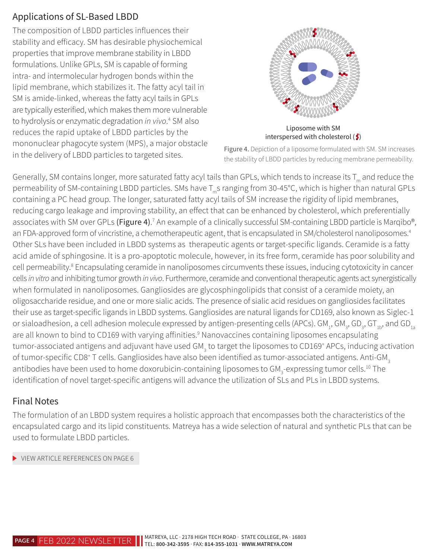#### Applications of SL-Based LBDD

The composition of LBDD particles influences their stability and efficacy. SM has desirable physiochemical properties that improve membrane stability in LBDD formulations. Unlike GPLs, SM is capable of forming intra- and intermolecular hydrogen bonds within the lipid membrane, which stabilizes it. The fatty acyl tail in SM is amide-linked, whereas the fatty acyl tails in GPLs are typically esterified, which makes them more vulnerable to hydrolysis or enzymatic degradation *in vivo*. 4 SM also reduces the rapid uptake of LBDD particles by the mononuclear phagocyte system (MPS), a major obstacle in the delivery of LBDD particles to targeted sites.



interspersed with cholesterol  $(\xi)$ 

Figure 4. Depiction of a liposome formulated with SM. SM increases the stability of LBDD particles by reducing membrane permeability.

Generally, SM contains longer, more saturated fatty acyl tails than GPLs, which tends to increase its  $T_m$  and reduce the permeability of SM-containing LBDD particles. SMs have T<sub>ring</sub> ranging from 30-45°C, which is higher than natural GPLs containing a PC head group. The longer, saturated fatty acyl tails of SM increase the rigidity of lipid membranes, reducing cargo leakage and improving stability, an effect that can be enhanced by cholesterol, which preferentially associates with SM over GPLs **(Figure 4)**.<sup>7</sup> An example of a clinically successful SM-containing LBDD particle is Marqibo®, an FDA-approved form of vincristine, a chemotherapeutic agent, that is encapsulated in SM/cholesterol nanoliposomes.<sup>4</sup> Other SLs have been included in LBDD systems as therapeutic agents or target-specific ligands. Ceramide is a fatty acid amide of sphingosine. It is a pro-apoptotic molecule, however, in its free form, ceramide has poor solubility and cell permeability.<sup>8</sup> Encapsulating ceramide in nanoliposomes circumvents these issues, inducing cytotoxicity in cancer cells *in vitro* and inhibiting tumor growth *in vivo*. Furthermore, ceramide and conventional therapeutic agents act synergistically when formulated in nanoliposomes. Gangliosides are glycosphingolipids that consist of a ceramide moiety, an oligosaccharide residue, and one or more sialic acids. The presence of sialic acid residues on gangliosides facilitates their use as target-specific ligands in LBDD systems. Gangliosides are natural ligands for CD169, also known as Siglec-1 or sialoadhesion, a cell adhesion molecule expressed by antigen-presenting cells (APCs). GM<sub>1</sub>, GM<sub>3</sub>, GD<sub>3</sub>, GT<sub>1b</sub>, and GD<sub>1a</sub> are all known to bind to CD169 with varying affinities.<sup>9</sup> Nanovaccines containing liposomes encapsulating tumor-associated antigens and adjuvant have used GM<sub>3</sub> to target the liposomes to CD169<sup>+</sup> APCs, inducing activation of tumor-specific CD8<sup>+</sup> T cells. Gangliosides have also been identified as tumor-associated antigens. Anti-GM<sub>3</sub> antibodies have been used to home doxorubicin-containing liposomes to GM<sub>3</sub>-expressing tumor cells.<sup>10</sup> The identification of novel target-specific antigens will advance the utilization of SLs and PLs in LBDD systems.

#### Final Notes

The formulation of an LBDD system requires a holistic approach that encompasses both the characteristics of the encapsulated cargo and its lipid constituents. Matreya has a wide selection of natural and synthetic PLs that can be used to formulate LBDD particles.

[VIEW ARTICLE REFERENCES ON PAGE 6](#page-5-0)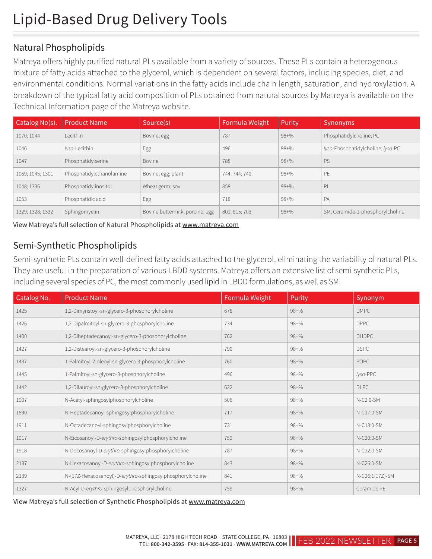#### Natural Phospholipids

Matreya offers highly purified natural PLs available from a variety of sources. These PLs contain a heterogenous mixture of fatty acids attached to the glycerol, which is dependent on several factors, including species, diet, and environmental conditions. Normal variations in the fatty acids include chain length, saturation, and hydroxylation. A breakdown of the typical fatty acid composition of PLs obtained from natural sources by Matreya is available on the [Technical Information page](https://www.matreya.com/Technical-Information-Pages.aspx) of the Matreya website.

| Catalog No(s).   | <b>Product Name</b>      | Source(s)                       | Formula Weight | Purity    | Synonyms                          |
|------------------|--------------------------|---------------------------------|----------------|-----------|-----------------------------------|
| 1070; 1044       | Lecithin                 | Bovine; egg                     | 787            | $98 + \%$ | Phosphatidylcholine; PC           |
| 1046             | lyso-Lecithin            | Egg                             | 496            | $98 + \%$ | lyso-Phosphatidylcholine; lyso-PC |
| 1047             | Phosphatidylserine       | Bovine                          | 788            | $98 + \%$ | PS                                |
| 1069; 1045; 1301 | Phosphatidylethanolamine | Bovine; egg; plant              | 744; 744; 740  | $98 + \%$ | PE                                |
| 1048; 1336       | Phosphatidylinositol     | Wheat germ; soy                 | 858            | $98 + \%$ | P                                 |
| 1053             | Phosphatidic acid        | Egg                             | 718            | $98 + \%$ | PA                                |
| 1329; 1328; 1332 | Sphingomyelin            | Bovine buttermilk; porcine; egg | 801; 815; 703  | $98 + \%$ | SM; Ceramide-1-phosphorylcholine  |

View Matreya's full selection of Natural Phospholipids at [www.matreya.com](https://www.matreya.com/Departments/Product-Categories/Phospholipids/Natural-Phospholipids.aspx)

#### Semi-Synthetic Phospholipids

Semi-synthetic PLs contain well-defined fatty acids attached to the glycerol, eliminating the variability of natural PLs. They are useful in the preparation of various LBDD systems. Matreya offers an extensive list of semi-synthetic PLs, including several species of PC, the most commonly used lipid in LBDD formulations, as well as SM.

| Catalog No. | <b>Product Name</b>                                        | Formula Weight | Purity    | Synonym         |
|-------------|------------------------------------------------------------|----------------|-----------|-----------------|
| 1425        | 1,2-Dimyristoyl-sn-glycero-3-phosphorylcholine             | 678            | $98 + \%$ | <b>DMPC</b>     |
| 1426        | 1,2-Dipalmitoyl-sn-glycero-3-phosphorylcholine             | 734            | $98 + \%$ | <b>DPPC</b>     |
| 1400        | 1,2-Diheptadecanoyl-sn-glycero-3-phosphorylcholine         | 762            | $98 + \%$ | <b>DHDPC</b>    |
| 1427        | 1,2-Distearoyl-sn-glycero-3-phosphorylcholine              | 790            | $98 + \%$ | <b>DSPC</b>     |
| 1437        | 1-Palmitoyl-2-oleoyl-sn-glycero-3-phosphorylcholine        | 760            | $98 + \%$ | <b>POPC</b>     |
| 1445        | 1-Palmitoyl-sn-glycero-3-phosphorylcholine                 | 496            | $98 + \%$ | lyso-PPC        |
| 1442        | 1,2-Dilauroyl-sn-glycero-3-phosphorylcholine               | 622            | $98 + \%$ | <b>DLPC</b>     |
| 1907        | N-Acetyl-sphingosylphosphorylcholine                       | 506            | $98 + \%$ | $N-C2:0-SM$     |
| 1890        | N-Heptadecanoyl-sphingosylphosphorylcholine                | 717            | $98 + \%$ | N-C17:0-SM      |
| 1911        | N-Octadecanoyl-sphingosylphosphorylcholine                 | 731            | $98 + \%$ | N-C18:0-SM      |
| 1917        | N-Eicosanoyl-D-erythro-sphingosylphosphorylcholine         | 759            | $98 + \%$ | N-C20:0-SM      |
| 1918        | N-Docosanoyl-D-erythro-sphingosylphosphorylcholine         | 787            | $98 + \%$ | N-C22:0-SM      |
| 2137        | N-Hexacosanoyl-D-erythro-sphingosylphosphorylcholine       | 843            | $98 + \%$ | N-C26:0-SM      |
| 2139        | N-(17Z-Hexacosenoyl)-D-erythro-sphingosylphosphorylcholine | 841            | $98 + \%$ | N-C26:1(17Z)-SM |
| 1327        | N-Acyl-D-erythro-sphingosylphosphorylcholine               | 759            | $98 + \%$ | Ceramide PE     |

View Matreya's full selection of Synthetic Phospholipids at [www.matreya.com](https://www.matreya.com/Departments/Product-Categories/Phospholipids/Synthetic-Phospholipids.aspx)